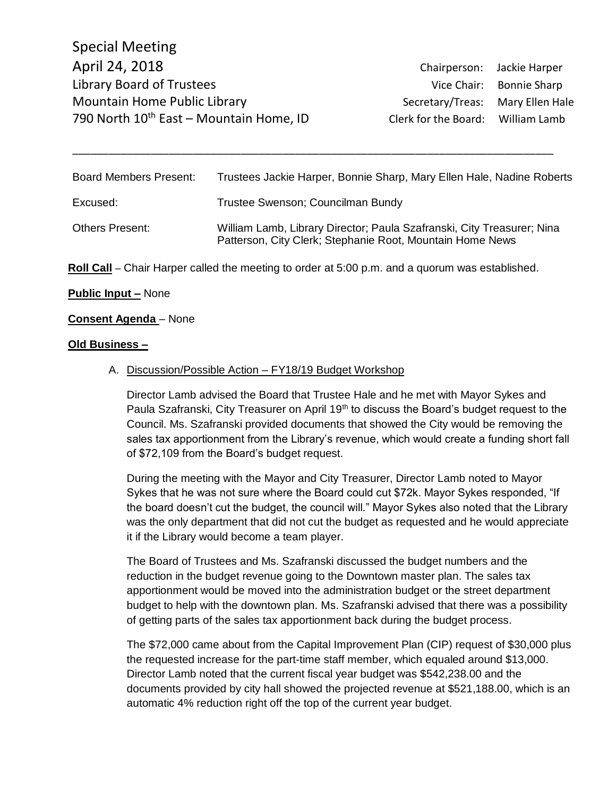| Board Members Present:                                                                          | Trustees Jackie Harper, Bonnie Sharp, Mary Ellen Hale, Nadine Roberts                                                               |
|-------------------------------------------------------------------------------------------------|-------------------------------------------------------------------------------------------------------------------------------------|
| Excused:                                                                                        | Trustee Swenson; Councilman Bundy                                                                                                   |
| <b>Others Present:</b>                                                                          | William Lamb, Library Director; Paula Szafranski, City Treasurer; Nina<br>Patterson, City Clerk; Stephanie Root, Mountain Home News |
| Roll Call - Chair Harper called the meeting to order at 5:00 p.m. and a quorum was established. |                                                                                                                                     |

\_\_\_\_\_\_\_\_\_\_\_\_\_\_\_\_\_\_\_\_\_\_\_\_\_\_\_\_\_\_\_\_\_\_\_\_\_\_\_\_\_\_\_\_\_\_\_\_\_\_\_\_\_\_\_\_\_\_\_\_\_\_\_\_\_\_\_\_\_\_\_\_\_\_\_\_\_\_\_\_

### **Public Input –** None

#### **Consent Agenda** – None

#### **Old Business –**

#### A. Discussion/Possible Action – FY18/19 Budget Workshop

Director Lamb advised the Board that Trustee Hale and he met with Mayor Sykes and Paula Szafranski, City Treasurer on April 19<sup>th</sup> to discuss the Board's budget request to the Council. Ms. Szafranski provided documents that showed the City would be removing the sales tax apportionment from the Library's revenue, which would create a funding short fall of \$72,109 from the Board's budget request.

During the meeting with the Mayor and City Treasurer, Director Lamb noted to Mayor Sykes that he was not sure where the Board could cut \$72k. Mayor Sykes responded, "If the board doesn't cut the budget, the council will." Mayor Sykes also noted that the Library was the only department that did not cut the budget as requested and he would appreciate it if the Library would become a team player.

The Board of Trustees and Ms. Szafranski discussed the budget numbers and the reduction in the budget revenue going to the Downtown master plan. The sales tax apportionment would be moved into the administration budget or the street department budget to help with the downtown plan. Ms. Szafranski advised that there was a possibility of getting parts of the sales tax apportionment back during the budget process.

The \$72,000 came about from the Capital Improvement Plan (CIP) request of \$30,000 plus the requested increase for the part-time staff member, which equaled around \$13,000. Director Lamb noted that the current fiscal year budget was \$542,238.00 and the documents provided by city hall showed the projected revenue at \$521,188.00, which is an automatic 4% reduction right off the top of the current year budget.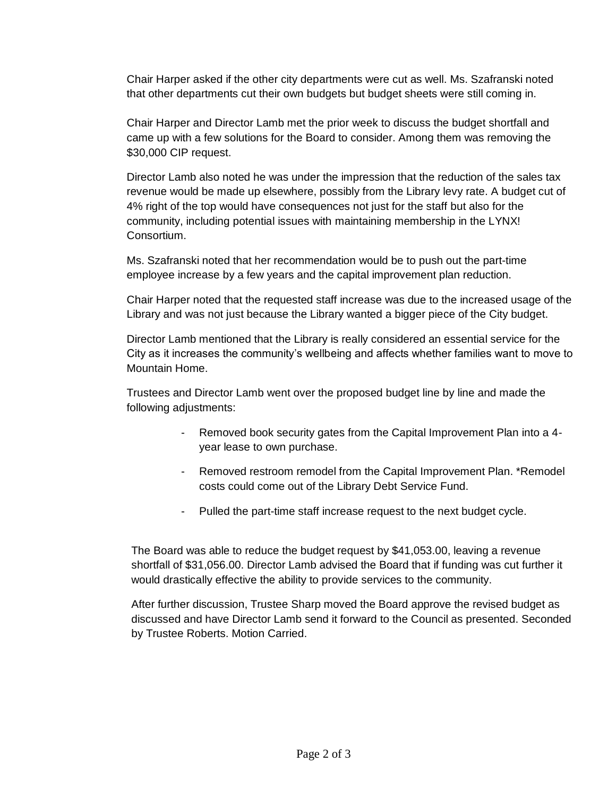Chair Harper asked if the other city departments were cut as well. Ms. Szafranski noted that other departments cut their own budgets but budget sheets were still coming in.

Chair Harper and Director Lamb met the prior week to discuss the budget shortfall and came up with a few solutions for the Board to consider. Among them was removing the \$30,000 CIP request.

Director Lamb also noted he was under the impression that the reduction of the sales tax revenue would be made up elsewhere, possibly from the Library levy rate. A budget cut of 4% right of the top would have consequences not just for the staff but also for the community, including potential issues with maintaining membership in the LYNX! Consortium.

Ms. Szafranski noted that her recommendation would be to push out the part-time employee increase by a few years and the capital improvement plan reduction.

Chair Harper noted that the requested staff increase was due to the increased usage of the Library and was not just because the Library wanted a bigger piece of the City budget.

Director Lamb mentioned that the Library is really considered an essential service for the City as it increases the community's wellbeing and affects whether families want to move to Mountain Home.

Trustees and Director Lamb went over the proposed budget line by line and made the following adjustments:

- Removed book security gates from the Capital Improvement Plan into a 4year lease to own purchase.
- Removed restroom remodel from the Capital Improvement Plan. \*Remodel costs could come out of the Library Debt Service Fund.
- Pulled the part-time staff increase request to the next budget cycle.

The Board was able to reduce the budget request by \$41,053.00, leaving a revenue shortfall of \$31,056.00. Director Lamb advised the Board that if funding was cut further it would drastically effective the ability to provide services to the community.

After further discussion, Trustee Sharp moved the Board approve the revised budget as discussed and have Director Lamb send it forward to the Council as presented. Seconded by Trustee Roberts. Motion Carried.